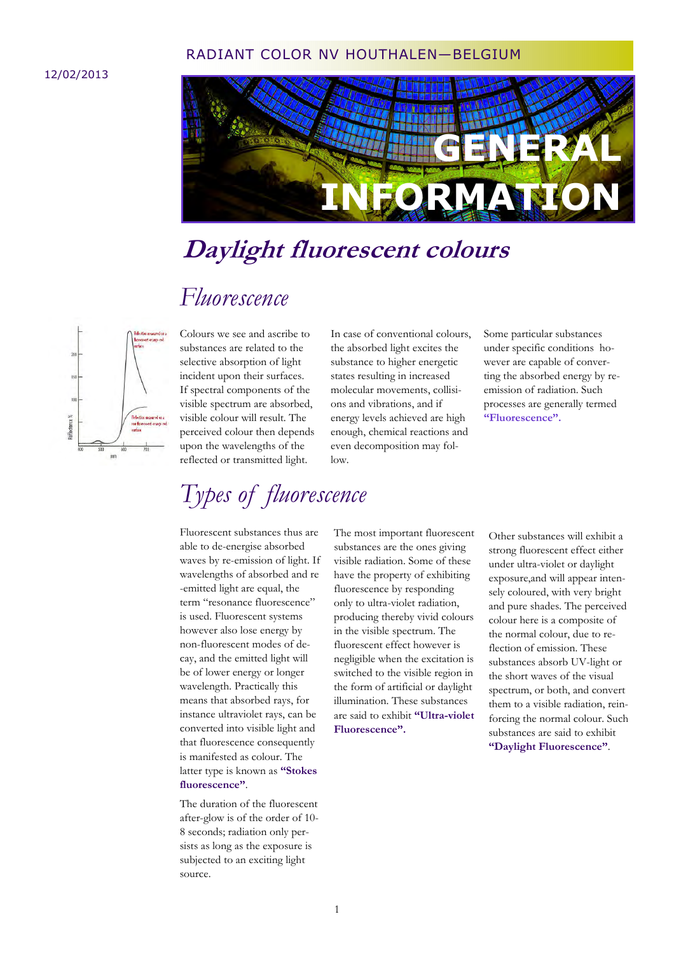#### RADIANT COLOR NV HOUTHALEN—BELGIUM

#### 12/02/2013



### **Daylight fluorescent colours**

### *Fluorescence*



Colours we see and ascribe to substances are related to the selective absorption of light incident upon their surfaces. If spectral components of the visible spectrum are absorbed, visible colour will result. The perceived colour then depends upon the wavelengths of the reflected or transmitted light.

In case of conventional colours, the absorbed light excites the substance to higher energetic states resulting in increased molecular movements, collisions and vibrations, and if energy levels achieved are high enough, chemical reactions and even decomposition may follow.

Some particular substances under specific conditions however are capable of converting the absorbed energy by reemission of radiation. Such processes are generally termed **"Fluorescence".**

### *Types of fluorescence*

Fluorescent substances thus are able to de-energise absorbed waves by re-emission of light. If wavelengths of absorbed and re -emitted light are equal, the term "resonance fluorescence" is used. Fluorescent systems however also lose energy by non-fluorescent modes of decay, and the emitted light will be of lower energy or longer wavelength. Practically this means that absorbed rays, for instance ultraviolet rays, can be converted into visible light and that fluorescence consequently is manifested as colour. The latter type is known as **"Stokes fluorescence"**.

The duration of the fluorescent after-glow is of the order of 10- 8 seconds; radiation only persists as long as the exposure is subjected to an exciting light source.

The most important fluorescent substances are the ones giving visible radiation. Some of these have the property of exhibiting fluorescence by responding only to ultra-violet radiation, producing thereby vivid colours in the visible spectrum. The fluorescent effect however is negligible when the excitation is switched to the visible region in the form of artificial or daylight illumination. These substances are said to exhibit **"Ultra-violet Fluorescence".**

Other substances will exhibit a strong fluorescent effect either under ultra-violet or daylight exposure,and will appear intensely coloured, with very bright and pure shades. The perceived colour here is a composite of the normal colour, due to reflection of emission. These substances absorb UV-light or the short waves of the visual spectrum, or both, and convert them to a visible radiation, reinforcing the normal colour. Such substances are said to exhibit **"Daylight Fluorescence"**.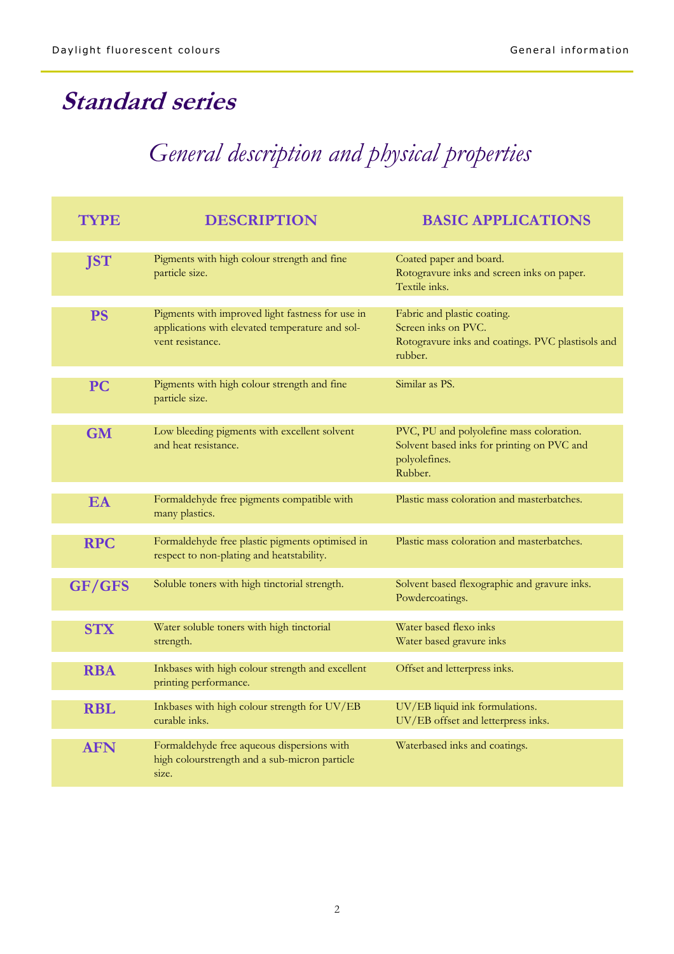# **Standard series**

# *General description and physical properties*

| <b>TYPE</b> | <b>DESCRIPTION</b>                                                                                                      | <b>BASIC APPLICATIONS</b>                                                                                          |  |  |  |  |
|-------------|-------------------------------------------------------------------------------------------------------------------------|--------------------------------------------------------------------------------------------------------------------|--|--|--|--|
| <b>JST</b>  | Pigments with high colour strength and fine<br>particle size.                                                           | Coated paper and board.<br>Rotogravure inks and screen inks on paper.<br>Textile inks.                             |  |  |  |  |
| <b>PS</b>   | Pigments with improved light fastness for use in<br>applications with elevated temperature and sol-<br>vent resistance. | Fabric and plastic coating.<br>Screen inks on PVC.<br>Rotogravure inks and coatings. PVC plastisols and<br>rubber. |  |  |  |  |
| <b>PC</b>   | Pigments with high colour strength and fine<br>particle size.                                                           | Similar as PS.                                                                                                     |  |  |  |  |
| <b>GM</b>   | Low bleeding pigments with excellent solvent<br>and heat resistance.                                                    | PVC, PU and polyolefine mass coloration.<br>Solvent based inks for printing on PVC and<br>polyolefines.<br>Rubber. |  |  |  |  |
| EA          | Formaldehyde free pigments compatible with<br>many plastics.                                                            | Plastic mass coloration and masterbatches.                                                                         |  |  |  |  |
| <b>RPC</b>  | Formaldehyde free plastic pigments optimised in<br>respect to non-plating and heatstability.                            | Plastic mass coloration and masterbatches.                                                                         |  |  |  |  |
| GF/GFS      | Soluble toners with high tinctorial strength.                                                                           | Solvent based flexographic and gravure inks.<br>Powdercoatings.                                                    |  |  |  |  |
| <b>STX</b>  | Water soluble toners with high tinctorial<br>strength.                                                                  | Water based flexo inks<br>Water based gravure inks                                                                 |  |  |  |  |
| <b>RBA</b>  | Inkbases with high colour strength and excellent<br>printing performance.                                               | Offset and letterpress inks.                                                                                       |  |  |  |  |
| <b>RBL</b>  | Inkbases with high colour strength for UV/EB<br>curable inks.                                                           | UV/EB liquid ink formulations.<br>UV/EB offset and letterpress inks.                                               |  |  |  |  |
| <b>AFN</b>  | Formaldehyde free aqueous dispersions with<br>high colourstrength and a sub-micron particle<br>size.                    | Waterbased inks and coatings.                                                                                      |  |  |  |  |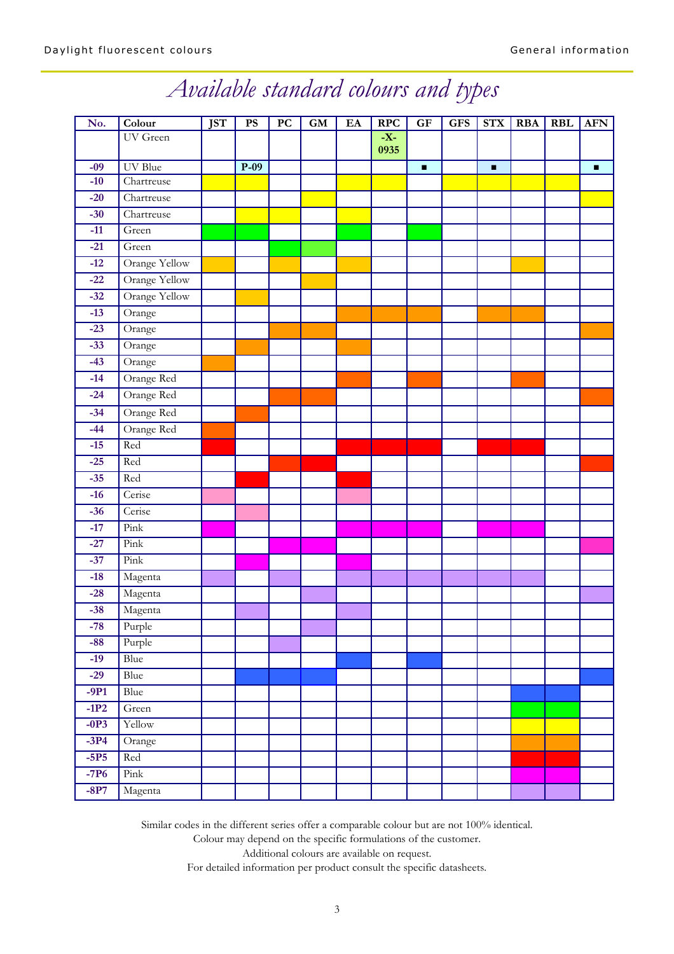# *Available standard colours and types*

| No.            | Colour                | <b>JST</b> | $\mathbf{P}\mathbf{S}$ | $\overline{PC}$ | $\boldsymbol{\mathsf{G}}\boldsymbol{\mathsf{M}}$ | EA | $\overline{\text{RPC}}$ | GF             | <b>GFS</b> | <b>STX</b>     | <b>RBA</b> | <b>RBL</b> | <b>AFN</b>     |
|----------------|-----------------------|------------|------------------------|-----------------|--------------------------------------------------|----|-------------------------|----------------|------------|----------------|------------|------------|----------------|
|                | UV Green              |            |                        |                 |                                                  |    | $-X-$                   |                |            |                |            |            |                |
|                |                       |            |                        |                 |                                                  |    | 0935                    |                |            |                |            |            |                |
| $-09$<br>$-10$ | UV Blue<br>Chartreuse |            | $\overline{P-09}$      |                 |                                                  |    |                         | $\blacksquare$ |            | $\blacksquare$ |            |            | $\blacksquare$ |
| $-20$          | Chartreuse            |            |                        |                 |                                                  |    |                         |                |            |                |            |            |                |
| $-30$          | Chartreuse            |            |                        |                 |                                                  |    |                         |                |            |                |            |            |                |
| $-11$          | Green                 |            |                        |                 |                                                  |    |                         |                |            |                |            |            |                |
| $-21$          |                       |            |                        |                 |                                                  |    |                         |                |            |                |            |            |                |
| $-12$          | Green                 |            |                        |                 |                                                  |    |                         |                |            |                |            |            |                |
|                | <b>Orange Yellow</b>  |            |                        |                 |                                                  |    |                         |                |            |                |            |            |                |
| $-22$          | Orange Yellow         |            |                        |                 |                                                  |    |                         |                |            |                |            |            |                |
| $-32$          | Orange Yellow         |            |                        |                 |                                                  |    |                         |                |            |                |            |            |                |
| $-13$          | Orange                |            |                        |                 |                                                  |    |                         |                |            |                |            |            |                |
| $-23$          | Orange                |            |                        |                 |                                                  |    |                         |                |            |                |            |            |                |
| $-33$          | Orange                |            |                        |                 |                                                  |    |                         |                |            |                |            |            |                |
| $-43$          | Orange                |            |                        |                 |                                                  |    |                         |                |            |                |            |            |                |
| $-14$          | Orange Red            |            |                        |                 |                                                  |    |                         |                |            |                |            |            |                |
| $-24$          | Orange Red            |            |                        |                 |                                                  |    |                         |                |            |                |            |            |                |
| $-34$          | Orange Red            |            |                        |                 |                                                  |    |                         |                |            |                |            |            |                |
| $-44$          | Orange Red            |            |                        |                 |                                                  |    |                         |                |            |                |            |            |                |
| $-15$          | Red                   |            |                        |                 |                                                  |    |                         |                |            |                |            |            |                |
| $-25$          | Red                   |            |                        |                 |                                                  |    |                         |                |            |                |            |            |                |
| $-35$          | Red                   |            |                        |                 |                                                  |    |                         |                |            |                |            |            |                |
| $-16$          | Cerise                |            |                        |                 |                                                  |    |                         |                |            |                |            |            |                |
| $-36$          | Cerise                |            |                        |                 |                                                  |    |                         |                |            |                |            |            |                |
| $-17$          | Pink                  |            |                        |                 |                                                  |    |                         |                |            |                |            |            |                |
| $-27$          | Pink                  |            |                        |                 |                                                  |    |                         |                |            |                |            |            |                |
| $-37$          | Pink                  |            |                        |                 |                                                  |    |                         |                |            |                |            |            |                |
| $-18$          | Magenta               |            |                        |                 |                                                  |    |                         |                |            |                |            |            |                |
| $-28$          | Magenta               |            |                        |                 |                                                  |    |                         |                |            |                |            |            |                |
| $-38$          | Magenta               |            |                        |                 |                                                  |    |                         |                |            |                |            |            |                |
| -78            | Purple                |            |                        |                 |                                                  |    |                         |                |            |                |            |            |                |
| $-88$          | Purple                |            |                        |                 |                                                  |    |                         |                |            |                |            |            |                |
| $-19$          | Blue                  |            |                        |                 |                                                  |    |                         |                |            |                |            |            |                |
| $-29$          | Blue                  |            |                        |                 |                                                  |    |                         |                |            |                |            |            |                |
| $-9P1$         | <b>Blue</b>           |            |                        |                 |                                                  |    |                         |                |            |                |            |            |                |
| $-1P2$         | Green                 |            |                        |                 |                                                  |    |                         |                |            |                |            |            |                |
| $-0P3$         | Yellow                |            |                        |                 |                                                  |    |                         |                |            |                |            |            |                |
| $-3P4$         | Orange                |            |                        |                 |                                                  |    |                         |                |            |                |            |            |                |
| $-5P5$         | Red                   |            |                        |                 |                                                  |    |                         |                |            |                |            |            |                |
| $-7P6$         | Pink                  |            |                        |                 |                                                  |    |                         |                |            |                |            |            |                |
| $-8P7$         | Magenta               |            |                        |                 |                                                  |    |                         |                |            |                |            |            |                |

Similar codes in the different series offer a comparable colour but are not 100% identical.

Colour may depend on the specific formulations of the customer.

Additional colours are available on request.

For detailed information per product consult the specific datasheets.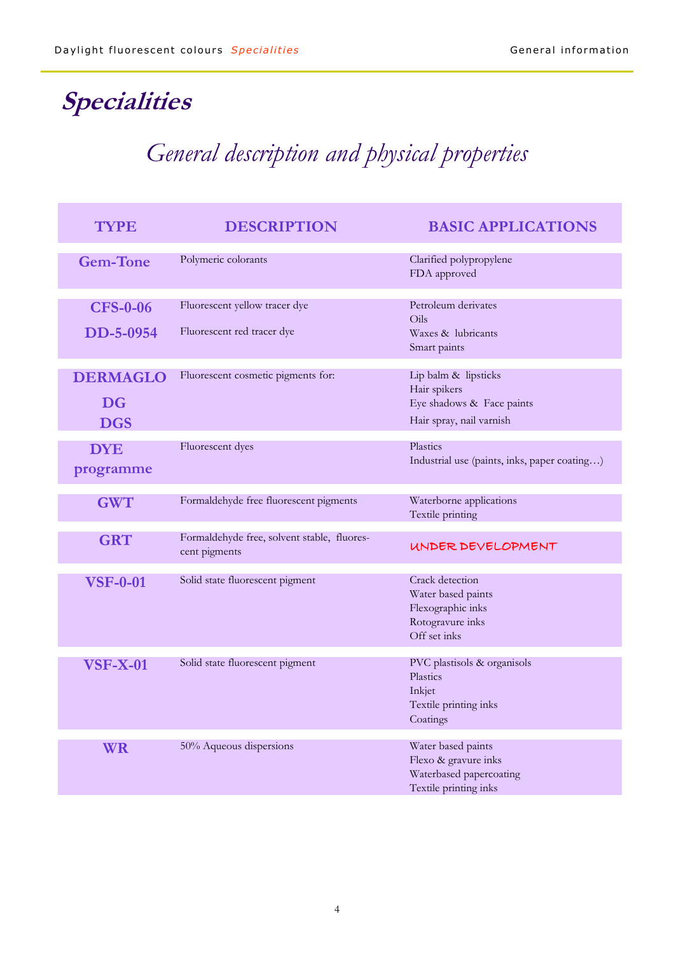# **Specialities**

# *General description and physical properties*

| <b>TYPE</b>                                | <b>DESCRIPTION</b>                                           | <b>BASIC APPLICATIONS</b>                                                                      |  |  |  |  |
|--------------------------------------------|--------------------------------------------------------------|------------------------------------------------------------------------------------------------|--|--|--|--|
| <b>Gem-Tone</b>                            | Polymeric colorants                                          | Clarified polypropylene<br>FDA approved                                                        |  |  |  |  |
| <b>CFS-0-06</b><br>DD-5-0954               | Fluorescent yellow tracer dye<br>Fluorescent red tracer dye  | Petroleum derivates<br>Oils<br>Waxes & lubricants<br>Smart paints                              |  |  |  |  |
| <b>DERMAGLO</b><br><b>DG</b><br><b>DGS</b> | Fluorescent cosmetic pigments for:                           | Lip balm & lipsticks<br>Hair spikers<br>Eye shadows & Face paints<br>Hair spray, nail varnish  |  |  |  |  |
| <b>DYE</b><br>programme                    | Fluorescent dyes                                             | Plastics<br>Industrial use (paints, inks, paper coating)                                       |  |  |  |  |
| <b>GWT</b>                                 | Formaldehyde free fluorescent pigments                       | Waterborne applications<br>Textile printing                                                    |  |  |  |  |
| <b>GRT</b>                                 | Formaldehyde free, solvent stable, fluores-<br>cent pigments | UNDER DEVELOPMENT                                                                              |  |  |  |  |
| <b>VSF-0-01</b>                            | Solid state fluorescent pigment                              | Crack detection<br>Water based paints<br>Flexographic inks<br>Rotogravure inks<br>Off set inks |  |  |  |  |
| <b>VSF-X-01</b>                            | Solid state fluorescent pigment                              | PVC plastisols & organisols<br>Plastics<br>Inkjet<br>Textile printing inks<br>Coatings         |  |  |  |  |
| <b>WR</b>                                  | 50% Aqueous dispersions                                      | Water based paints<br>Flexo & gravure inks<br>Waterbased papercoating<br>Textile printing inks |  |  |  |  |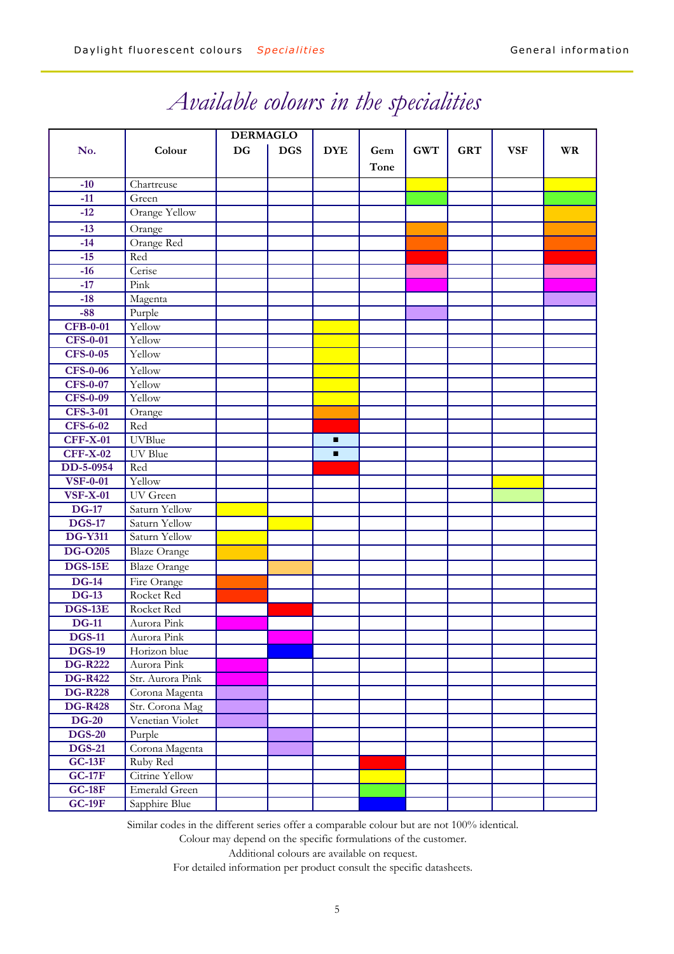|                            |                                    | <b>DERMAGLO</b> |            |            |      |            |            |            |           |
|----------------------------|------------------------------------|-----------------|------------|------------|------|------------|------------|------------|-----------|
| No.                        | Colour                             | <b>DG</b>       | <b>DGS</b> | <b>DYE</b> | Gem  | <b>GWT</b> | <b>GRT</b> | <b>VSF</b> | <b>WR</b> |
|                            |                                    |                 |            |            | Tone |            |            |            |           |
| $-10$                      | Chartreuse                         |                 |            |            |      |            |            |            |           |
| $-11$                      | Green                              |                 |            |            |      |            |            |            |           |
| $-12$                      | <b>Orange Yellow</b>               |                 |            |            |      |            |            |            |           |
| $-13$                      | Orange                             |                 |            |            |      |            |            |            |           |
| $-14$                      | Orange Red                         |                 |            |            |      |            |            |            |           |
| $-15$                      | Red                                |                 |            |            |      |            |            |            |           |
| $-16$                      | Cerise                             |                 |            |            |      |            |            |            |           |
| $-17$                      | Pink                               |                 |            |            |      |            |            |            |           |
| $-18$                      |                                    |                 |            |            |      |            |            |            |           |
| $-88$                      | Magenta                            |                 |            |            |      |            |            |            |           |
| <b>CFB-0-01</b>            | Purple<br>Yellow                   |                 |            |            |      |            |            |            |           |
| <b>CFS-0-01</b>            | Yellow                             |                 |            |            |      |            |            |            |           |
| <b>CFS-0-05</b>            | Yellow                             |                 |            |            |      |            |            |            |           |
|                            |                                    |                 |            |            |      |            |            |            |           |
| <b>CFS-0-06</b>            | Yellow                             |                 |            |            |      |            |            |            |           |
| <b>CFS-0-07</b>            | Yellow                             |                 |            |            |      |            |            |            |           |
| <b>CFS-0-09</b>            | Yellow                             |                 |            |            |      |            |            |            |           |
| <b>CFS-3-01</b>            | Orange                             |                 |            |            |      |            |            |            |           |
| <b>CFS-6-02</b>            | Red<br><b>UVBlue</b>               |                 |            |            |      |            |            |            |           |
| <b>CFF-X-01</b>            |                                    |                 |            | п          |      |            |            |            |           |
| <b>CFF-X-02</b>            | <b>UV</b> Blue                     |                 |            | п          |      |            |            |            |           |
| DD-5-0954                  | Red                                |                 |            |            |      |            |            |            |           |
| <b>VSF-0-01</b>            | Yellow                             |                 |            |            |      |            |            |            |           |
| <b>VSF-X-01</b><br>$DG-17$ | UV Green                           |                 |            |            |      |            |            |            |           |
| <b>DGS-17</b>              | Saturn Yellow                      |                 |            |            |      |            |            |            |           |
| <b>DG-Y311</b>             | Saturn Yellow                      |                 |            |            |      |            |            |            |           |
|                            | Saturn Yellow                      |                 |            |            |      |            |            |            |           |
| <b>DG-O205</b>             | <b>Blaze Orange</b>                |                 |            |            |      |            |            |            |           |
| <b>DGS-15E</b>             | <b>Blaze Orange</b>                |                 |            |            |      |            |            |            |           |
| $DG-14$                    | Fire Orange                        |                 |            |            |      |            |            |            |           |
| $DG-13$                    | Rocket Red                         |                 |            |            |      |            |            |            |           |
| <b>DGS-13E</b>             | Rocket Red                         |                 |            |            |      |            |            |            |           |
| <b>DG-11</b>               | Aurora Pink                        |                 |            |            |      |            |            |            |           |
| <b>DGS-11</b>              | Aurora Pink                        |                 |            |            |      |            |            |            |           |
| <b>DGS-19</b>              | Horizon blue                       |                 |            |            |      |            |            |            |           |
| <b>DG-R222</b>             | Aurora Pink                        |                 |            |            |      |            |            |            |           |
| <b>DG-R422</b>             | Str. Aurora Pink                   |                 |            |            |      |            |            |            |           |
| <b>DG-R228</b>             | Corona Magenta                     |                 |            |            |      |            |            |            |           |
| <b>DG-R428</b>             | Str. Corona Mag<br>Venetian Violet |                 |            |            |      |            |            |            |           |
| $DG-20$                    |                                    |                 |            |            |      |            |            |            |           |
| <b>DGS-20</b>              | Purple                             |                 |            |            |      |            |            |            |           |
| <b>DGS-21</b>              | Corona Magenta                     |                 |            |            |      |            |            |            |           |
| $GC-13F$                   | Ruby Red                           |                 |            |            |      |            |            |            |           |
| <b>GC-17F</b>              | <b>Citrine Yellow</b>              |                 |            |            |      |            |            |            |           |
| $GC-18F$                   | <b>Emerald Green</b>               |                 |            |            |      |            |            |            |           |
| $GC-19F$                   | Sapphire Blue                      |                 |            |            |      |            |            |            |           |

## *Available colours in the specialities*

Similar codes in the different series offer a comparable colour but are not 100% identical.

Colour may depend on the specific formulations of the customer.

Additional colours are available on request.

For detailed information per product consult the specific datasheets.